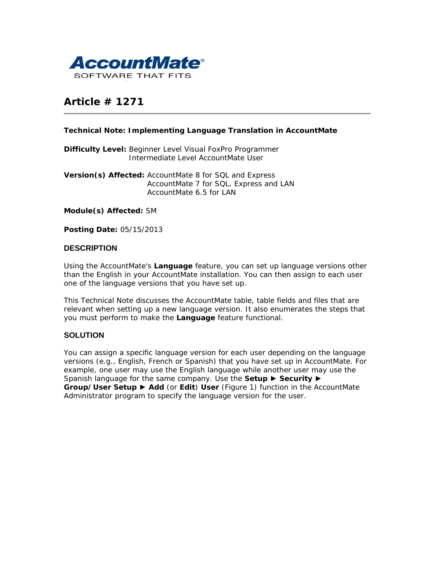

# **Article # 1271**

## **Technical Note: Implementing Language Translation in AccountMate**

**Difficulty Level:** Beginner Level Visual FoxPro Programmer Intermediate Level AccountMate User

**Version(s) Affected:** AccountMate 8 for SQL and Express AccountMate 7 for SQL, Express and LAN AccountMate 6.5 for LAN

**Module(s) Affected:** SM

**Posting Date:** 05/15/2013

## **DESCRIPTION**

Using the AccountMate's **Language** feature, you can set up language versions other than the English in your AccountMate installation. You can then assign to each user one of the language versions that you have set up.

This Technical Note discusses the AccountMate table, table fields and files that are relevant when setting up a new language version. It also enumerates the steps that you must perform to make the **Language** feature functional.

## **SOLUTION**

You can assign a specific language version for each user depending on the language versions (e.g., English, French or Spanish) that you have set up in AccountMate. For example, one user may use the English language while another user may use the Spanish language for the same company. Use the **Setup ► Security** ► **Group/User Setup** ► **Add** (or **Edit**) **User** (Figure 1) function in the AccountMate Administrator program to specify the language version for the user.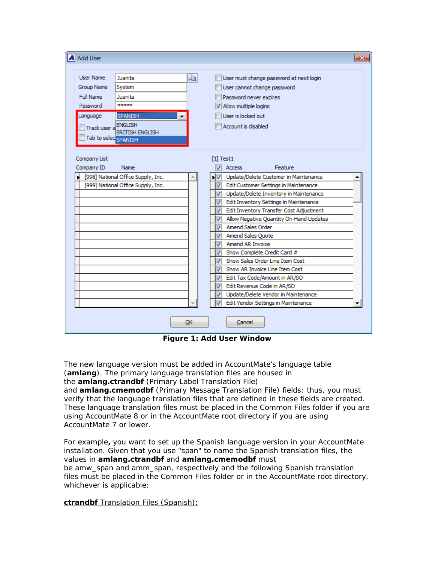|                                                                                                                     |                                                                                 |                                                                                                                                                                                                                                       |                                                                                                                                                                                                                                                                                                                                                                                                                                                                                                                                                                                | x |
|---------------------------------------------------------------------------------------------------------------------|---------------------------------------------------------------------------------|---------------------------------------------------------------------------------------------------------------------------------------------------------------------------------------------------------------------------------------|--------------------------------------------------------------------------------------------------------------------------------------------------------------------------------------------------------------------------------------------------------------------------------------------------------------------------------------------------------------------------------------------------------------------------------------------------------------------------------------------------------------------------------------------------------------------------------|---|
| <b>User Name</b><br>Group Name<br>Full Name<br>Password<br>Language<br>Track user a ENGLISH<br>Tab to selec SPANISH | Juanita<br>System<br>Juanita<br>*****<br>SPANISH<br>▼<br><b>BRITISH ENGLISH</b> | e)                                                                                                                                                                                                                                    | User must change password at next login<br>User cannot change password<br>Password never expires<br>V Allow multiple logins<br>User is locked out<br>Account is disabled                                                                                                                                                                                                                                                                                                                                                                                                       |   |
| Company List<br>Company ID                                                                                          | Name                                                                            |                                                                                                                                                                                                                                       | $[1]$ Test1<br>Feature<br><b>Access</b>                                                                                                                                                                                                                                                                                                                                                                                                                                                                                                                                        |   |
| Ы                                                                                                                   | [998] National Office Supply, Inc.<br>[999] National Office Supply, Inc.        | J<br>J<br>$\boldsymbol{J}$<br>$\overline{\mathcal{F}}$<br>$\overline{\mathcal{L}}$<br>√<br>J<br>$\overline{\mathcal{L}}$<br>$\overline{\mathcal{L}}$<br>√<br>$\overline{J}$<br>J<br>$\boldsymbol{J}$<br>$\overline{\mathcal{J}}$<br>J | Update/Delete Customer in Maintenance<br>Edit Customer Settings in Maintenance<br>Update/Delete Inventory in Maintenance<br>Edit Inventory Settings in Maintenance<br>Edit Inventory Transfer Cost Adjustment<br>Allow Negative Quantity On-Hand Updates<br><b>Amend Sales Order</b><br>Amend Sales Quote<br>Amend AR Invoice<br>Show Complete Credit Card #<br>Show Sales Order Line Item Cost<br>Show AR Invoice Line Item Cost<br>Edit Tax Code/Amount in AR/SO<br>Edit Revenue Code in AR/SO<br>Update/Delete Vendor in Maintenance<br>Edit Vendor Settings in Maintenance |   |

**Figure 1: Add User Window**

The new language version must be added in AccountMate's language table (**amlang**). The primary language translation files are housed in the **amlang.ctrandbf** (Primary Label Translation File)

and **amlang.cmemodbf** (Primary Message Translation File) fields; thus, you must verify that the language translation files that are defined in these fields are created. These language translation files must be placed in the Common Files folder if you are using AccountMate 8 or in the AccountMate root directory if you are using AccountMate 7 or lower.

For example**,** you want to set up the Spanish language version in your AccountMate installation. Given that you use "span" to name the Spanish translation files, the values in **amlang.ctrandbf** and **amlang.cmemodbf** must be *amw\_span* and *amm\_span*, respectively and the following Spanish translation files must be placed in the Common Files folder or in the AccountMate root directory, whichever is applicable:

**ctrandbf** Translation Files (Spanish):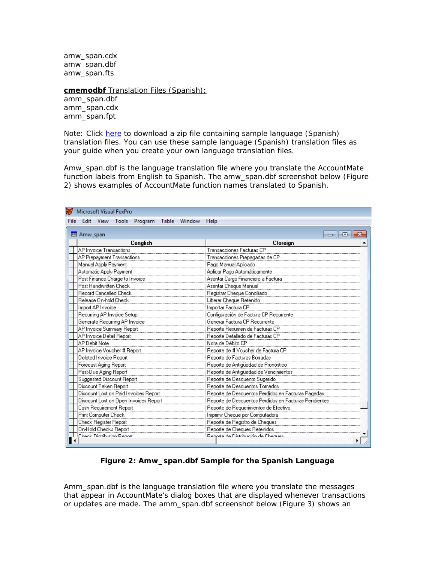*amw\_span.cdx amw\_span.dbf amw\_span.fts*

**cmemodbf** Translation Files (Spanish): *amm\_span.dbf amm\_span.cdx amm\_span.fpt*

*Note: Click [here](http://www.accountmate.com/businesspartner/pdfdownload.asp?info/technotes/1271/sample_translation_tables.zip) to download a zip file containing sample language (Spanish) translation files. You can use these sample language (Spanish) translation files as your guide when you create your own language translation files.*

*Amw\_span.dbf* is the language translation file where you translate the AccountMate function labels from English to Spanish. The *amw\_span.dbf* screenshot below (Figure 2) shows examples of AccountMate function names translated to Spanish.

|      | Microsoft Visual FoxPro               |                      |                                |                         |  |              |                                                       |  |  |  |  |
|------|---------------------------------------|----------------------|--------------------------------|-------------------------|--|--------------|-------------------------------------------------------|--|--|--|--|
| File |                                       |                      |                                | Edit View Tools Program |  | Table Window | Help                                                  |  |  |  |  |
|      | iii Amw_span<br>Ξ                     |                      |                                |                         |  |              |                                                       |  |  |  |  |
|      | Cenglish                              |                      |                                |                         |  |              | Cforeign                                              |  |  |  |  |
|      | AP Invoice Transactions               |                      |                                |                         |  |              | Transacciones Facturas CP                             |  |  |  |  |
|      | AP Prepayment Transactions            |                      |                                |                         |  |              | Transacciones Prepagadas de CP                        |  |  |  |  |
|      |                                       | Manual Apply Payment |                                |                         |  |              | Pago Manual Aplicado                                  |  |  |  |  |
|      |                                       |                      | Automatic Apply Payment        |                         |  |              | Aplicar Pago Automáticamente                          |  |  |  |  |
|      |                                       |                      | Post Finance Charge to Invoice |                         |  |              | Asentar Cargo Financiero a Factura                    |  |  |  |  |
|      |                                       |                      | Post Handwritten Check         |                         |  |              | Asentar Cheque Manual                                 |  |  |  |  |
|      |                                       |                      | Record Cancelled Check         |                         |  |              | Registrar Cheque Conciliado                           |  |  |  |  |
|      |                                       |                      | Release On-hold Check          |                         |  |              | Liberar Cheque Retenido                               |  |  |  |  |
|      |                                       | Import AP Invoice    |                                |                         |  |              | Importar Factura CP                                   |  |  |  |  |
|      |                                       |                      | Recurring AP Invoice Setup     |                         |  |              | Configuración de Factura CP Recurrente                |  |  |  |  |
|      | Generate Recurring AP Invoice         |                      |                                |                         |  |              | Generar Factura CP Recurrente                         |  |  |  |  |
|      |                                       |                      | AP Invoice Summary Report      |                         |  |              | Reporte Resumen de Facturas CP                        |  |  |  |  |
|      |                                       |                      | AP Invoice Detail Report       |                         |  |              | Reporte Detallado de Facturas CP                      |  |  |  |  |
|      | AP Debit Note                         |                      |                                |                         |  |              | Nota de Débito CP                                     |  |  |  |  |
|      | AP Invoice Voucher # Report           |                      |                                |                         |  |              | Reporte de # Voucher de Factura CP                    |  |  |  |  |
|      | Deleted Invoice Report                |                      |                                |                         |  |              | Reporte de Facturas Borradas                          |  |  |  |  |
|      | Forecast Aging Report                 |                      |                                |                         |  |              | Reporte de Antiquedad de Pronóstico                   |  |  |  |  |
|      | Past-Due Aging Report                 |                      |                                |                         |  |              | Reporte de Antigüedad de Vencimientos                 |  |  |  |  |
|      | Suggested Discount Report             |                      |                                |                         |  |              | Reporte de Descuento Sugerido                         |  |  |  |  |
|      | Discount Taken Report                 |                      |                                |                         |  |              | Reporte de Descuentos Tomados                         |  |  |  |  |
|      | Discount Lost on Paid Invoices Report |                      |                                |                         |  |              | Reporte de Descuentos Perdidos en Facturas Pagadas    |  |  |  |  |
|      | Discount Lost on Open Invoices Report |                      |                                |                         |  |              | Reporte de Descuentos Perdidos en Facturas Pendientes |  |  |  |  |
|      | Cash Requirement Report               |                      |                                |                         |  |              | Reporte de Requerimientos de Efectivo                 |  |  |  |  |
|      | Print Computer Check                  |                      |                                |                         |  |              | Imprimir Cheque por Computadora                       |  |  |  |  |
|      | Check Register Report                 |                      |                                |                         |  |              | Reporte de Registro de Cheques                        |  |  |  |  |
|      |                                       |                      | <b>On-Hold Checks Report</b>   |                         |  |              | Reporte de Cheques Retenidos                          |  |  |  |  |
|      |                                       |                      | Check Distribution Report      |                         |  |              | .<br>Renorte de Distribución de Cheques               |  |  |  |  |

#### **Figure 2: Amw\_span.dbf Sample for the Spanish Language**

*Amm\_span.dbf* is the language translation file where you translate the messages that appear in AccountMate's dialog boxes that are displayed whenever transactions or updates are made. The amm\_span.dbf screenshot below (Figure 3) shows an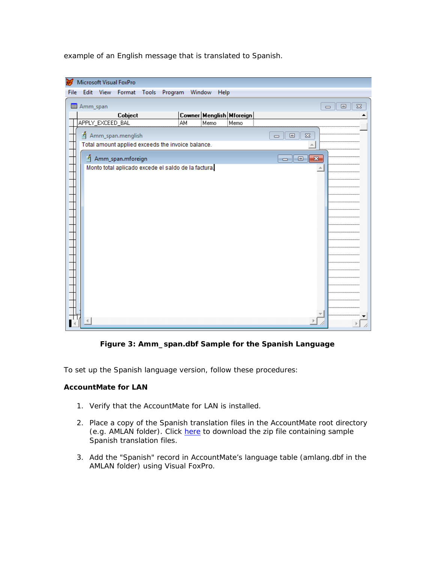example of an English message that is translated to Spanish.



**Figure 3: Amm\_span.dbf Sample for the Spanish Language**

To set up the Spanish language version, follow these procedures:

## **AccountMate for LAN**

- 1. Verify that the AccountMate for LAN is installed.
- 2. Place a copy of the Spanish translation files in the AccountMate root directory (e.g. AMLAN folder). Click [here](http://www.accountmate.com/businesspartner/pdfdownload.asp?info/technotes/1271/sample_translation_tables.zip) to download the zip file containing sample Spanish translation files.
- 3. Add the "Spanish" record in AccountMate's language table (*amlang.dbf* in the AMLAN folder) using Visual FoxPro.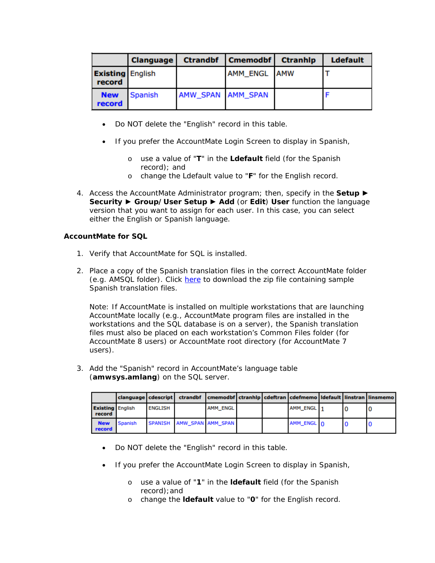| <b>Clanguage</b>     |                         |                   | Ctrandbf   Cmemodbf   Ctranhlp | <b>Ldefault</b> |  |
|----------------------|-------------------------|-------------------|--------------------------------|-----------------|--|
| record               | <b>Existing</b> English |                   | AMM ENGL AMW                   |                 |  |
| <b>New</b><br>record | <b>Spanish</b>          | AMW SPAN AMM SPAN |                                |                 |  |

- Do NOT delete the "English" record in this table.
- If you prefer the AccountMate Login Screen to display in Spanish,
	- o use a value of "**T**" in the *Ldefault* field (for the Spanish record); and
	- o change the Ldefault value to "**F**" for the English record.
- 4. Access the AccountMate Administrator program; then, specify in the **Setup ► Security** ► **Group/User Setup** ► **Add** (or **Edit**) **User** function the language version that you want to assign for each user. In this case, you can select either the English or Spanish language.

## **AccountMate for SQL**

- 1. Verify that AccountMate for SQL is installed.
- 2. Place a copy of the Spanish translation files in the correct AccountMate folder (e.g. AMSQL folder). Click [here](http://www.accountmate.com/businesspartner/pdfdownload.asp?info/technotes/1271/sample_translation_tables.zip) to download the zip file containing sample Spanish translation files.

*Note: If AccountMate is installed on multiple workstations that are launching AccountMate locally (e.g., AccountMate program files are installed in the workstations and the SQL database is on a server), the Spanish translation files must also be placed on each workstation's Common Files folder (for AccountMate 8 users) or AccountMate root directory (for AccountMate 7 users).*

3. Add the "Spanish" record in AccountMate's language table (**amwsys.***a***mlang***)* on the SQL server.

|                      |                         |                | clanguage   cdescript   ctrandbf   cmemodbf   ctranhlp   cdeftran   cdefmemo   Idefault   linstran   linsmemo |          |  |            |  |  |
|----------------------|-------------------------|----------------|---------------------------------------------------------------------------------------------------------------|----------|--|------------|--|--|
| record               | <b>Existing English</b> | <b>ENGLISH</b> |                                                                                                               | AMM ENGL |  | AMM ENGL 1 |  |  |
| <b>New</b><br>record | <b>Spanish</b>          |                | SPANISH AMW SPAN AMM SPAN                                                                                     |          |  | AMM_ENGL 0 |  |  |

- Do NOT delete the "English" record in this table.
- If you prefer the AccountMate Login Screen to display in Spanish,
	- o use a value of "**1**" in the **ldefault** field (for the Spanish record);and
	- o change the **ldefault** value to "**0**" for the English record.